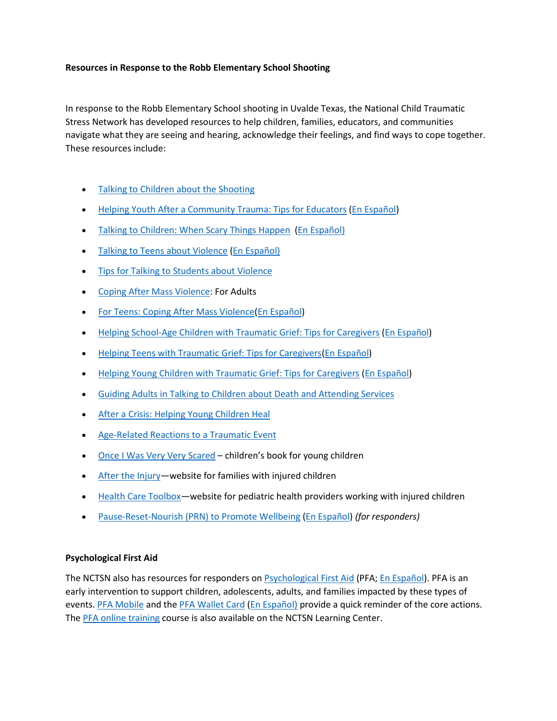# **Resources in Response to the Robb Elementary School Shooting**

In response to the Robb Elementary School shooting in Uvalde Texas, the National Child Traumatic Stress Network has developed resources to help children, families, educators, and communities navigate what they are seeing and hearing, acknowledge their feelings, and find ways to cope together. These resources include:

- [Talking to Children about the Shooting](https://urldefense.com/v3/__https:/nam11.safelinks.protection.outlook.com/?url=https*3A*2F*2Furldefense.com*2Fv3*2F__https*3A*2Fnam11.safelinks.protection.outlook.com*2F*3Furl*3Dhttp*3A*2F*2Fwww.nctsn.org*2Fsites*2Fdefault*2Ffiles*2Fassets*2Fpdfs*2Ftalking_to_children_about_the_shooting.pdf*26data*3D04*7C01*7Cjames.henry*40wmich.edu*7C778118e4202c4e67efa608d9b44a0ee1*7C257622517aa94c72905f39bf026a8a84*7C0*7C0*7C637739052603849019*7CUnknown*7CTWFpbGZsb3d8eyJWIjoiMC4wLjAwMDAiLCJQIjoiV2luMzIiLCJBTiI6Ik1haWwiLCJXVCI6Mn0*3D*7C3000*26sdata*3Dyb*2B4M7JA2ncB2GgHEbB1sPFgspu5VPtUm6vBXs*2FVY2w*3D*26reserved*3D0__*3BJSUlJSUlJSUlJSUlJSUlJSUlJSUlJSUl!!F9wkZZsI-LA!S0ez0EkgYcoJQqCliLyWQGcPOIQilAz-QMZ3GihleehIPx3OI_orGZ1W6zQDQYB9ml1S*24&data=04*7C01*7Cjames.henry*40wmich.edu*7Cd211fee17b5e42b56c9708d9bc049985*7C257622517aa94c72905f39bf026a8a84*7C0*7C0*7C637747550359944141*7CUnknown*7CTWFpbGZsb3d8eyJWIjoiMC4wLjAwMDAiLCJQIjoiV2luMzIiLCJBTiI6Ik1haWwiLCJXVCI6Mn0*3D*7C3000&sdata=vVcC8wf14t2hxm6d*2BnDVmTR2oUodzsi4l5hnrIR2nOc*3D&reserved=0__;JSUlJSUlJSUlJSoqKioqKioqKiUlKioqKioqKioqKioqJSUqKiolJSUlJSUlJSUlJSUlJSUlJSU!!F9wkZZsI-LA!WLN-m7mcj34zxZ_vuGozR808BlN5tLgRjC4KShGKA5LpEZshoFC5ViPePI9l15vLreV4$)
- [Helping Youth After a Community Trauma: Tips for Educators](https://urldefense.com/v3/__https:/nam11.safelinks.protection.outlook.com/?url=https*3A*2F*2Furldefense.com*2Fv3*2F__https*3A*2Fnam11.safelinks.protection.outlook.com*2F*3Furl*3Dhttps*3A*2F*2Fwww.nctsn.org*2Fresources*2Fhelping-youth-after-community-trauma-tips-educators*26data*3D04*7C01*7Cjames.henry*40wmich.edu*7C778118e4202c4e67efa608d9b44a0ee1*7C257622517aa94c72905f39bf026a8a84*7C0*7C0*7C637739052603858978*7CUnknown*7CTWFpbGZsb3d8eyJWIjoiMC4wLjAwMDAiLCJQIjoiV2luMzIiLCJBTiI6Ik1haWwiLCJXVCI6Mn0*3D*7C3000*26sdata*3DmNcltU1dL1XaakucVA2*2BWj*2FiQiT5rfjld75ihNKTB14*3D*26reserved*3D0__*3BJSUlJSUlJSUlJSUlJSUlJSUlJSU!!F9wkZZsI-LA!S0ez0EkgYcoJQqCliLyWQGcPOIQilAz-QMZ3GihleehIPx3OI_orGZ1W6zQDQXBozk_E*24&data=04*7C01*7Cjames.henry*40wmich.edu*7Cd211fee17b5e42b56c9708d9bc049985*7C257622517aa94c72905f39bf026a8a84*7C0*7C0*7C637747550359944141*7CUnknown*7CTWFpbGZsb3d8eyJWIjoiMC4wLjAwMDAiLCJQIjoiV2luMzIiLCJBTiI6Ik1haWwiLCJXVCI6Mn0*3D*7C3000&sdata=2SZws6ZNQM49f5gLRYe30Xq7A6sDnTlWKdcHPwNivpo*3D&reserved=0__;JSUlJSUlJSUlJSoqKioqJSUqKioqKioqKioqKiolJSoqKiUlJSUlJSUlJSUlJSUlJSUl!!F9wkZZsI-LA!WLN-m7mcj34zxZ_vuGozR808BlN5tLgRjC4KShGKA5LpEZshoFC5ViPePI9l1we2zQhv$) [\(En Español\)](https://www.nctsn.org/resources/helping-youth-after-community-trauma-tips-educators-sp)
- [Talking to Children: When Scary Things Happen](https://drive.google.com/file/d/1Mc8dsD-AYBupNgXeI97BrVmKvoGWQrgw/view) [\(En Español\)](https://drive.google.com/file/d/181pGktEIcnqxyRmQJuaBJ6d0Vjg5K-z6/view)
- [Talking to Teens about Violence](https://drive.google.com/file/d/1fnP6HTUyJO-sdRJ0bgYJ6V8UrSIWTjJv/view) [\(En Español\)](https://ibsweb.colorado.edu/crw/wp-content/uploads/sites/7/2021/04/CRWS_Spanish_Talking-to-Teens_Violent-Events.pdf)
- [Tips for Talking to Students about Violence](https://drive.google.com/file/d/1DO7aqM23ad4Q5wWZyHR1ghFscQtWdALZ/view)
- [Coping After Mass Violence:](https://urldefense.com/v3/__https:/nam12.safelinks.protection.outlook.com/?url=https*3A*2F*2Fwww.nctsn.org*2Fresources*2Fcoping-after-mass-violence&data=05*7C01*7Cmsommerville*40bestselfwny.org*7C9cc7b3a66ee1407b93cd08da384060f6*7C5fde4e13381544908af9179c523986a4*7C0*7C0*7C637884147173072305*7CUnknown*7CTWFpbGZsb3d8eyJWIjoiMC4wLjAwMDAiLCJQIjoiV2luMzIiLCJBTiI6Ik1haWwiLCJXVCI6Mn0*3D*7C3000*7C*7C*7C&sdata=TuXvdiCTQsw7noOO1y0m13M4xmu9K2pYNAnmRejFQaY*3D&reserved=0__;JSUlJSUlJSUlJSUlJSUlJSUlJSUl!!F9wkZZsI-LA!DvCYO2OfdJmlrFhVf6w3GdstfuUP-Cklkd8EVz5hJEkymxQ9x6lDGR76_lpaCGtN6slPBMX2a35VF5Toy6yGMQiqZUs4xbGPJQ$) For Adults
- [For Teens: Coping After Mass Violence](https://urldefense.com/v3/__https:/nam12.safelinks.protection.outlook.com/?url=https*3A*2F*2Fwww.nctsn.org*2Fsites*2Fdefault*2Ffiles*2Fresources*2Ffact-sheet*2Ffor_teens_coping_after_mass_violence.pdf&data=05*7C01*7Cmsommerville*40bestselfwny.org*7C9cc7b3a66ee1407b93cd08da384060f6*7C5fde4e13381544908af9179c523986a4*7C0*7C0*7C637884147173072305*7CUnknown*7CTWFpbGZsb3d8eyJWIjoiMC4wLjAwMDAiLCJQIjoiV2luMzIiLCJBTiI6Ik1haWwiLCJXVCI6Mn0*3D*7C3000*7C*7C*7C&sdata=gToiz4ZLD*2BiD*2FsLKbmX5N0jp5MRToKjSiqTU6o05utI*3D&reserved=0__;JSUlJSUlJSUlJSUlJSUlJSUlJSUlJSUlJSUl!!F9wkZZsI-LA!DvCYO2OfdJmlrFhVf6w3GdstfuUP-Cklkd8EVz5hJEkymxQ9x6lDGR76_lpaCGtN6slPBMX2a35VF5Toy6yGMQiqZUvy23uhjQ$)[\(En Español\)](https://urldefense.com/v3/__https:/nam12.safelinks.protection.outlook.com/?url=https*3A*2F*2Fwww.nctsn.org*2Fresources*2Ffor-teens-coping-after-mass-violence-sp&data=05*7C01*7Cmsommerville*40bestselfwny.org*7C9cc7b3a66ee1407b93cd08da384060f6*7C5fde4e13381544908af9179c523986a4*7C0*7C0*7C637884147173072305*7CUnknown*7CTWFpbGZsb3d8eyJWIjoiMC4wLjAwMDAiLCJQIjoiV2luMzIiLCJBTiI6Ik1haWwiLCJXVCI6Mn0*3D*7C3000*7C*7C*7C&sdata=sMS9wPkteyHjOSvAzs0p2pjBTX0UKNb04mP4vUPfP2g*3D&reserved=0__;JSUlJSUlJSUlJSUlJSUlJSUlJSUl!!F9wkZZsI-LA!DvCYO2OfdJmlrFhVf6w3GdstfuUP-Cklkd8EVz5hJEkymxQ9x6lDGR76_lpaCGtN6slPBMX2a35VF5Toy6yGMQiqZUugOTKsJw$)
- [Helping School-Age Children with Traumatic Grief: Tips for Caregivers](https://urldefense.com/v3/__https:/nam11.safelinks.protection.outlook.com/?url=https*3A*2F*2Furldefense.com*2Fv3*2F__https*3A*2Fnam11.safelinks.protection.outlook.com*2F*3Furl*3Dhttps*3A*2F*2Fwww.nctsn.org*2Fresources*2Fhelping-school-age-children-traumatic-grief-tips-caregivers*26data*3D04*7C01*7Cjames.henry*40wmich.edu*7C778118e4202c4e67efa608d9b44a0ee1*7C257622517aa94c72905f39bf026a8a84*7C0*7C0*7C637739052603868934*7CUnknown*7CTWFpbGZsb3d8eyJWIjoiMC4wLjAwMDAiLCJQIjoiV2luMzIiLCJBTiI6Ik1haWwiLCJXVCI6Mn0*3D*7C3000*26sdata*3Dfg3WJyHF5fNqJc9QGrBUXFxPqcvieTxPTynNbIe8NX8*3D*26reserved*3D0__*3BJSUlJSUlJSUlJSUlJSUlJSUl!!F9wkZZsI-LA!S0ez0EkgYcoJQqCliLyWQGcPOIQilAz-QMZ3GihleehIPx3OI_orGZ1W6zQDQdED9yiS*24&data=04*7C01*7Cjames.henry*40wmich.edu*7Cd211fee17b5e42b56c9708d9bc049985*7C257622517aa94c72905f39bf026a8a84*7C0*7C0*7C637747550359944141*7CUnknown*7CTWFpbGZsb3d8eyJWIjoiMC4wLjAwMDAiLCJQIjoiV2luMzIiLCJBTiI6Ik1haWwiLCJXVCI6Mn0*3D*7C3000&sdata=HW2f3xvaPdZTnj*2BFrGwd9ppIIRwSxFWa2R5UGiduMdA*3D&reserved=0__;JSUlJSUlJSUlJSoqKioqJSUqKioqKioqKioqKiolJSolJSUlJSUlJSUlJSUlJSUlJSU!!F9wkZZsI-LA!WLN-m7mcj34zxZ_vuGozR808BlN5tLgRjC4KShGKA5LpEZshoFC5ViPePI9l1xz66sbk$) [\(En Español\)](https://www.nctsn.org/resources/helping-school-age-children-traumatic-grief-tips-caregivers-sp)
- [Helping Teens with Traumatic Grief: Tips for Caregivers\(](https://urldefense.com/v3/__https:/nam11.safelinks.protection.outlook.com/?url=https*3A*2F*2Furldefense.com*2Fv3*2F__https*3A*2Fnam11.safelinks.protection.outlook.com*2F*3Furl*3Dhttps*3A*2F*2Fwww.nctsn.org*2Fresources*2Fhelping-teens-traumatic-grief-tips-caregivers*26data*3D04*7C01*7Cjames.henry*40wmich.edu*7C778118e4202c4e67efa608d9b44a0ee1*7C257622517aa94c72905f39bf026a8a84*7C0*7C0*7C637739052603858978*7CUnknown*7CTWFpbGZsb3d8eyJWIjoiMC4wLjAwMDAiLCJQIjoiV2luMzIiLCJBTiI6Ik1haWwiLCJXVCI6Mn0*3D*7C3000*26sdata*3DFolYCzlhYQScOaNc3TL4ETkm9KZ7YiukUDm9*2F*2FwFxms*3D*26reserved*3D0__*3BJSUlJSUlJSUlJSUlJSUlJSUlJSU!!F9wkZZsI-LA!S0ez0EkgYcoJQqCliLyWQGcPOIQilAz-QMZ3GihleehIPx3OI_orGZ1W6zQDQTb9_diS*24&data=04*7C01*7Cjames.henry*40wmich.edu*7Cd211fee17b5e42b56c9708d9bc049985*7C257622517aa94c72905f39bf026a8a84*7C0*7C0*7C637747550359944141*7CUnknown*7CTWFpbGZsb3d8eyJWIjoiMC4wLjAwMDAiLCJQIjoiV2luMzIiLCJBTiI6Ik1haWwiLCJXVCI6Mn0*3D*7C3000&sdata=SSEhfmZ6QqA3sKJsndMK*2Bd2dvt1vZu3llSK*2BMAxplL4*3D&reserved=0__;JSUlJSUlJSUlJSoqKioqJSUqKioqKioqKioqKiolJSoqKiUlJSUlJSUlJSUlJSUlJSUlJSU!!F9wkZZsI-LA!WLN-m7mcj34zxZ_vuGozR808BlN5tLgRjC4KShGKA5LpEZshoFC5ViPePI9l12YbIfJJ$)[En Español\)](https://www.nctsn.org/sites/default/files/resources/tip-sheet/helping-teens-with-traumatic-grief-for-caregivers-sp.pdf)
- [Helping Young Children with Traumatic Grief: Tips for Caregivers](https://urldefense.com/v3/__https:/nam11.safelinks.protection.outlook.com/?url=https*3A*2F*2Furldefense.com*2Fv3*2F__https*3A*2Fnam11.safelinks.protection.outlook.com*2F*3Furl*3Dhttps*3A*2F*2Fwww.nctsn.org*2Fresources*2Fhelping-young-children-traumatic-grief-tips-caregivers*26data*3D04*7C01*7Cjames.henry*40wmich.edu*7C778118e4202c4e67efa608d9b44a0ee1*7C257622517aa94c72905f39bf026a8a84*7C0*7C0*7C637739052603868934*7CUnknown*7CTWFpbGZsb3d8eyJWIjoiMC4wLjAwMDAiLCJQIjoiV2luMzIiLCJBTiI6Ik1haWwiLCJXVCI6Mn0*3D*7C3000*26sdata*3Dw0elNUIRxgQ6jnZcmTB9hMxipKDxQ9UV4DPaa0fwWxw*3D*26reserved*3D0__*3BJSUlJSUlJSUlJSUlJSUlJSUl!!F9wkZZsI-LA!S0ez0EkgYcoJQqCliLyWQGcPOIQilAz-QMZ3GihleehIPx3OI_orGZ1W6zQDQaSVV8lj*24&data=04*7C01*7Cjames.henry*40wmich.edu*7Cd211fee17b5e42b56c9708d9bc049985*7C257622517aa94c72905f39bf026a8a84*7C0*7C0*7C637747550359944141*7CUnknown*7CTWFpbGZsb3d8eyJWIjoiMC4wLjAwMDAiLCJQIjoiV2luMzIiLCJBTiI6Ik1haWwiLCJXVCI6Mn0*3D*7C3000&sdata=M97KpznXEkhD6wJYOEqelNXJp2*2BIqX6u4C*2FlaePgmPk*3D&reserved=0__;JSUlJSUlJSUlJSoqKioqJSUqKioqKioqKioqKiolJSolJSUlJSUlJSUlJSUlJSUlJSUl!!F9wkZZsI-LA!WLN-m7mcj34zxZ_vuGozR808BlN5tLgRjC4KShGKA5LpEZshoFC5ViPePI9l18b6ChQl$) [\(En Español\)](https://www.nctsn.org/resources/helping-young-children-traumatic-grief-tips-caregivers-sp)
- [Guiding Adults in Talking to Children about Death and Attending Services](https://www.nctsn.org/resources/guiding-adults-talking-children-about-death-and-attending-services)
- [After a Crisis: Helping Young Children Heal](https://www.nctsn.org/resources/after-crisis-helping-young-children-heal)
- [Age-Related Reactions to a Traumatic Event](https://www.nctsn.org/resources/age-related-reactions-traumatic-event)
- [Once I Was Very Very Scared](https://secure-web.cisco.com/1YfvQekZO5hrtmD-nUCKnWwiA02fqTvcurF1qW78HVHTAc69bCZpTKlgLIxT7y_e9M8vdd0iX6U5-ySMcqZVGLZmtXWFC0rCOGU2W0SyTzN060Zzwt0Xlk3faMX2vjJQZ1V8eKFeTZXWHK0rz5aOu-_aATVBp4eref6kd2TgMang8376eqm_2QUxM_EB3Gmq663txxyJXAvli_-eVNXNE3cHsS8EnzE_Y_Uqz0CRIZJF3xRgsjeQ0iVcarNMRNu29aN8pDZ75vkXgRPUqUdQosOkbsmHLkJRu0cS8ttQ2qgi1tupdw5YQRqqhaMftOmaO/https%3A%2F%2Fpiploproductions.com%2Fstories%2Fonce%2F) children's book for young children
- After the Injury-website for families with injured children
- [Health Care Toolbox—](https://urldefense.com/v3/__https:/nam11.safelinks.protection.outlook.com/?url=https*3A*2F*2Furldefense.com*2Fv3*2F__https*3A*2Fnam11.safelinks.protection.outlook.com*2F*3Furl*3Dhttps*3A*2F*2Furldefense.proofpoint.com*2Fv2*2Furl*3Fu*3Dhttps-3A__www.healthcaretoolbox.org_*26d*3DDwMFAg*26c*3DUXmaowRpu5bLSLEQRunJ2z-YIUZuUoa9Rw_x449Hd_Y*26r*3DhzomOGg2G27ZjuZegYWWfu4EgrpiGCT_JunBM07Lj7Q*26m*3DvyKoXFUQ-CzUQsUEsU_VwEifMStVNuB6XZZtDuIDrTY*26s*3DTo4qpM_pSNMYr-2Wu8Yq6yEKrS7FOZCM4Pxiq5SgFuM*26e*3D*26data*3D04*7C01*7Cjames.henry*40wmich.edu*7C778118e4202c4e67efa608d9b44a0ee1*7C257622517aa94c72905f39bf026a8a84*7C0*7C0*7C637739052603888848*7CUnknown*7CTWFpbGZsb3d8eyJWIjoiMC4wLjAwMDAiLCJQIjoiV2luMzIiLCJBTiI6Ik1haWwiLCJXVCI6Mn0*3D*7C3000*26sdata*3DcrKZkT*2F9xlBsfqipiaAAAT6h6ETKg8LZGnngZQtQWck*3D*26reserved*3D0__*3BJSUlJSUlJSUlJSUlJSUlJSUlJSUlJSUlJSUlJSUlJSUl!!F9wkZZsI-LA!S0ez0EkgYcoJQqCliLyWQGcPOIQilAz-QMZ3GihleehIPx3OI_orGZ1W6zQDQVeOEJCl*24&data=04*7C01*7Cjames.henry*40wmich.edu*7Cd211fee17b5e42b56c9708d9bc049985*7C257622517aa94c72905f39bf026a8a84*7C0*7C0*7C637747550359944141*7CUnknown*7CTWFpbGZsb3d8eyJWIjoiMC4wLjAwMDAiLCJQIjoiV2luMzIiLCJBTiI6Ik1haWwiLCJXVCI6Mn0*3D*7C3000&sdata=wAETX0H4b3mVzpMM5Dl109Y5j8CFpVNKG*2FKPGl2Yqtw*3D&reserved=0__;JSUlJSUlJSUlJSoqKioqKioqKioqKioqKioqKiolJSoqKioqKioqKioqKiUlKiolJSUlJSUlJSUlJSUlJSUlJSU!!F9wkZZsI-LA!WLN-m7mcj34zxZ_vuGozR808BlN5tLgRjC4KShGKA5LpEZshoFC5ViPePI9l13B9jNuo$)website for pediatric health providers working with injured children
- [Pause-Reset-Nourish \(PRN\) to Promote Wellbeing](https://www.nctsn.org/resources/pause-reset-nourish-to-promote-wellbeing-use-as-needed-to-care-for-your-wellness) [\(En Español\)](https://www.nctsn.org/resources/prn-to-promote-wellbeing-as-needed-to-care-for-your-wellness-sp) *(for responders)*

# **Psychological First Aid**

The NCTSN also has resources for responders o[n Psychological First Aid](https://urldefense.com/v3/__https:/www.nctsn.org/resources/psychological-first-aid-pfa-field-operations-guide-2nd-edition__;!!F9wkZZsI-LA!SIUd2q2njiJ43vJbtUGCEzLFZoCI14Jsv1upSAIdkNbS-wUig4YMKjsW27WviG5a6caP$) (PFA[; En Español\)](https://urldefense.com/v3/__https:/www.nctsn.org/resources/primeros-auxilios-psicologicos-guia-de-operaciones-practicas-2da-edicion__;!!F9wkZZsI-LA!SIUd2q2njiJ43vJbtUGCEzLFZoCI14Jsv1upSAIdkNbS-wUig4YMKjsW27WviGtpkaxs$). PFA is an early intervention to support children, adolescents, adults, and families impacted by these types of events. [PFA Mobile](https://www.nctsn.org/resources/pfa-mobile) and the [PFA Wallet Card](https://urldefense.com/v3/__https:/www.nctsn.org/resources/psychological-first-aid-pfa-wallet-card__;!!F9wkZZsI-LA!SIUd2q2njiJ43vJbtUGCEzLFZoCI14Jsv1upSAIdkNbS-wUig4YMKjsW27WviLYN40Vn$) [\(En Español\)](https://urldefense.com/v3/__https:/www.nctsn.org/resources/psychological-first-aid-pfa-wallet-card-sp__;!!F9wkZZsI-LA!SIUd2q2njiJ43vJbtUGCEzLFZoCI14Jsv1upSAIdkNbS-wUig4YMKjsW27WviHEcE2bq$) provide a quick reminder of the core actions. The [PFA online training](https://www.nctsn.org/resources/psychological-first-aid-pfa-online) course is also available on the NCTSN Learning Center.